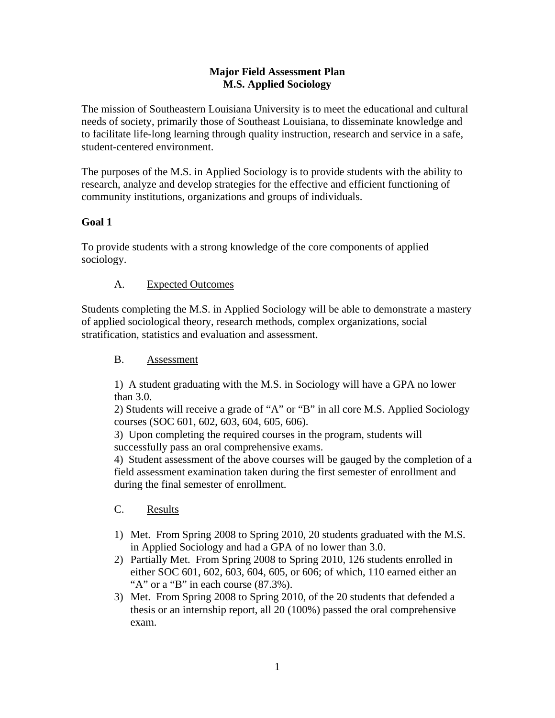### **Major Field Assessment Plan M.S. Applied Sociology**

The mission of Southeastern Louisiana University is to meet the educational and cultural needs of society, primarily those of Southeast Louisiana, to disseminate knowledge and to facilitate life-long learning through quality instruction, research and service in a safe, student-centered environment.

The purposes of the M.S. in Applied Sociology is to provide students with the ability to research, analyze and develop strategies for the effective and efficient functioning of community institutions, organizations and groups of individuals.

# **Goal 1**

To provide students with a strong knowledge of the core components of applied sociology.

## A. Expected Outcomes

Students completing the M.S. in Applied Sociology will be able to demonstrate a mastery of applied sociological theory, research methods, complex organizations, social stratification, statistics and evaluation and assessment.

## B. Assessment

1) A student graduating with the M.S. in Sociology will have a GPA no lower than 3.0.

2) Students will receive a grade of "A" or "B" in all core M.S. Applied Sociology courses (SOC 601, 602, 603, 604, 605, 606).

3) Upon completing the required courses in the program, students will successfully pass an oral comprehensive exams.

4) Student assessment of the above courses will be gauged by the completion of a field assessment examination taken during the first semester of enrollment and during the final semester of enrollment.

## C. Results

- 1) Met. From Spring 2008 to Spring 2010, 20 students graduated with the M.S. in Applied Sociology and had a GPA of no lower than 3.0.
- 2) Partially Met. From Spring 2008 to Spring 2010, 126 students enrolled in either SOC 601, 602, 603, 604, 605, or 606; of which, 110 earned either an "A" or a "B" in each course  $(87.3\%)$ .
- 3) Met. From Spring 2008 to Spring 2010, of the 20 students that defended a thesis or an internship report, all 20 (100%) passed the oral comprehensive exam.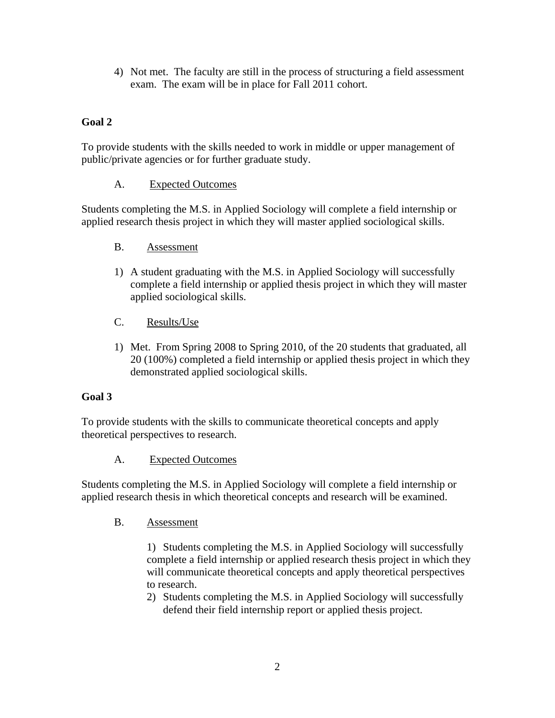4) Not met. The faculty are still in the process of structuring a field assessment exam. The exam will be in place for Fall 2011 cohort.

# **Goal 2**

To provide students with the skills needed to work in middle or upper management of public/private agencies or for further graduate study.

## A. Expected Outcomes

Students completing the M.S. in Applied Sociology will complete a field internship or applied research thesis project in which they will master applied sociological skills.

- B. Assessment
- 1) A student graduating with the M.S. in Applied Sociology will successfully complete a field internship or applied thesis project in which they will master applied sociological skills.
- C. Results/Use
- 1) Met. From Spring 2008 to Spring 2010, of the 20 students that graduated, all 20 (100%) completed a field internship or applied thesis project in which they demonstrated applied sociological skills.

## **Goal 3**

To provide students with the skills to communicate theoretical concepts and apply theoretical perspectives to research.

## A. Expected Outcomes

Students completing the M.S. in Applied Sociology will complete a field internship or applied research thesis in which theoretical concepts and research will be examined.

#### B. Assessment

1) Students completing the M.S. in Applied Sociology will successfully complete a field internship or applied research thesis project in which they will communicate theoretical concepts and apply theoretical perspectives to research.

2) Students completing the M.S. in Applied Sociology will successfully defend their field internship report or applied thesis project.